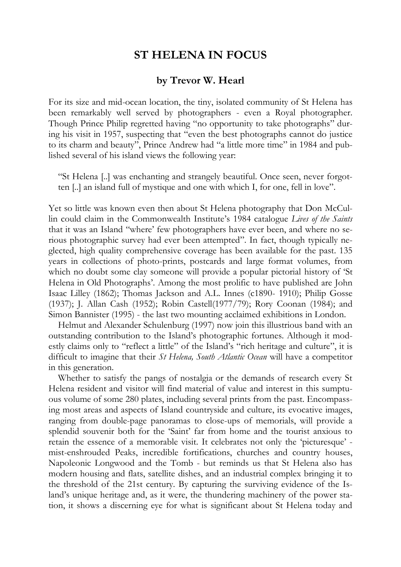## **ST HELENA IN FOCUS**

## **by Trevor W. Hearl**

For its size and mid-ocean location, the tiny, isolated community of St Helena has been remarkably well served by photographers - even a Royal photographer. Though Prince Philip regretted having "no opportunity to take photographs" during his visit in 1957, suspecting that "even the best photographs cannot do justice to its charm and beauty", Prince Andrew had "a little more time" in 1984 and published several of his island views the following year:

"St Helena [..] was enchanting and strangely beautiful. Once seen, never forgotten [..] an island full of mystique and one with which I, for one, fell in love".

Yet so little was known even then about St Helena photography that Don McCullin could claim in the Commonwealth Institute's 1984 catalogue *Lives of the Saints* that it was an Island "where' few photographers have ever been, and where no serious photographic survey had ever been attempted". In fact, though typically neglected, high quality comprehensive coverage has been available for the past. 135 years in collections of photo-prints, postcards and large format volumes, from which no doubt some clay someone will provide a popular pictorial history of 'St Helena in Old Photographs'. Among the most prolific to have published are John Isaac Lilley (1862); Thomas Jackson and A.L. Innes (c1890- 1910); Philip Gosse (1937); J. Allan Cash (1952); Robin Castell(1977/79); Rory Coonan (1984); and Simon Bannister (1995) - the last two mounting acclaimed exhibitions in London.

Helmut and Alexander Schulenburg (1997) now join this illustrious band with an outstanding contribution to the Island's photographic fortunes. Although it modestly claims only to "reflect a little" of the Island's "rich heritage and culture", it is difficult to imagine that their *St Helena, South Atlantic Ocean* will have a competitor in this generation.

Whether to satisfy the pangs of nostalgia or the demands of research every St Helena resident and visitor will find material of value and interest in this sumptuous volume of some 280 plates, including several prints from the past. Encompassing most areas and aspects of Island countryside and culture, its evocative images, ranging from double-page panoramas to close-ups of memorials, will provide a splendid souvenir both for the 'Saint' far from home and the tourist anxious to retain the essence of a memorable visit. It celebrates not only the 'picturesque' mist-enshrouded Peaks, incredible fortifications, churches and country houses, Napoleonic Longwood and the Tomb - but reminds us that St Helena also has modern housing and flats, satellite dishes, and an industrial complex bringing it to the threshold of the 21st century. By capturing the surviving evidence of the Island's unique heritage and, as it were, the thundering machinery of the power station, it shows a discerning eye for what is significant about St Helena today and